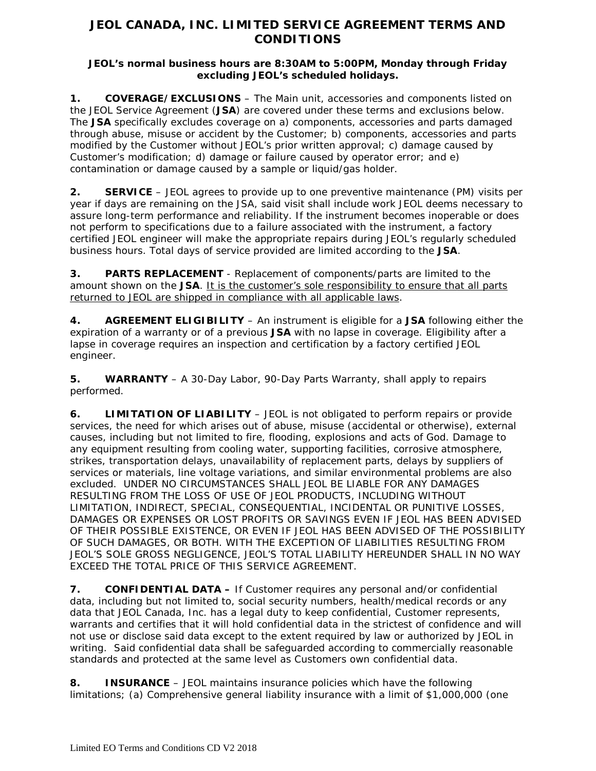## **JEOL CANADA, INC. LIMITED SERVICE AGREEMENT TERMS AND CONDITIONS**

## **JEOL's normal business hours are 8:30AM to 5:00PM, Monday through Friday excluding JEOL's scheduled holidays.**

**1. COVERAGE/EXCLUSIONS** – The Main unit, accessories and components listed on the JEOL Service Agreement (**JSA**) are covered under these terms and exclusions below. The **JSA** specifically excludes coverage on a) components, accessories and parts damaged through abuse, misuse or accident by the Customer; b) components, accessories and parts modified by the Customer without JEOL's prior written approval; c) damage caused by Customer's modification; d) damage or failure caused by operator error; and e) contamination or damage caused by a sample or liquid/gas holder.

**2. SERVICE** – JEOL agrees to provide up to one preventive maintenance (PM) visits per year if days are remaining on the JSA, said visit shall include work JEOL deems necessary to assure long-term performance and reliability. If the instrument becomes inoperable or does not perform to specifications due to a failure associated with the instrument, a factory certified JEOL engineer will make the appropriate repairs during JEOL's regularly scheduled business hours. Total days of service provided are limited according to the **JSA**.

**3. PARTS REPLACEMENT** - Replacement of components/parts are limited to the amount shown on the **JSA**. It is the customer's sole responsibility to ensure that all parts returned to JEOL are shipped in compliance with all applicable laws.

**4. AGREEMENT ELIGIBILITY** – An instrument is eligible for a **JSA** following either the expiration of a warranty or of a previous **JSA** with no lapse in coverage. Eligibility after a lapse in coverage requires an inspection and certification by a factory certified JEOL engineer.

**5. WARRANTY** – A 30-Day Labor, 90-Day Parts Warranty, shall apply to repairs performed.

**6. LIMITATION OF LIABILITY** – JEOL is not obligated to perform repairs or provide services, the need for which arises out of abuse, misuse (accidental or otherwise), external causes, including but not limited to fire, flooding, explosions and acts of God. Damage to any equipment resulting from cooling water, supporting facilities, corrosive atmosphere, strikes, transportation delays, unavailability of replacement parts, delays by suppliers of services or materials, line voltage variations, and similar environmental problems are also excluded. UNDER NO CIRCUMSTANCES SHALL JEOL BE LIABLE FOR ANY DAMAGES RESULTING FROM THE LOSS OF USE OF JEOL PRODUCTS, INCLUDING WITHOUT LIMITATION, INDIRECT, SPECIAL, CONSEQUENTIAL, INCIDENTAL OR PUNITIVE LOSSES, DAMAGES OR EXPENSES OR LOST PROFITS OR SAVINGS EVEN IF JEOL HAS BEEN ADVISED OF THEIR POSSIBLE EXISTENCE, OR EVEN IF JEOL HAS BEEN ADVISED OF THE POSSIBILITY OF SUCH DAMAGES, OR BOTH. WITH THE EXCEPTION OF LIABILITIES RESULTING FROM JEOL'S SOLE GROSS NEGLIGENCE, JEOL'S TOTAL LIABILITY HEREUNDER SHALL IN NO WAY EXCEED THE TOTAL PRICE OF THIS SERVICE AGREEMENT.

**7. CONFIDENTIAL DATA –** If Customer requires any personal and/or confidential data, including but not limited to, social security numbers, health/medical records or any data that JEOL Canada, Inc. has a legal duty to keep confidential, Customer represents, warrants and certifies that it will hold confidential data in the strictest of confidence and will not use or disclose said data except to the extent required by law or authorized by JEOL in writing. Said confidential data shall be safeguarded according to commercially reasonable standards and protected at the same level as Customers own confidential data.

**8. INSURANCE** – JEOL maintains insurance policies which have the following limitations; (a) Comprehensive general liability insurance with a limit of \$1,000,000 (one